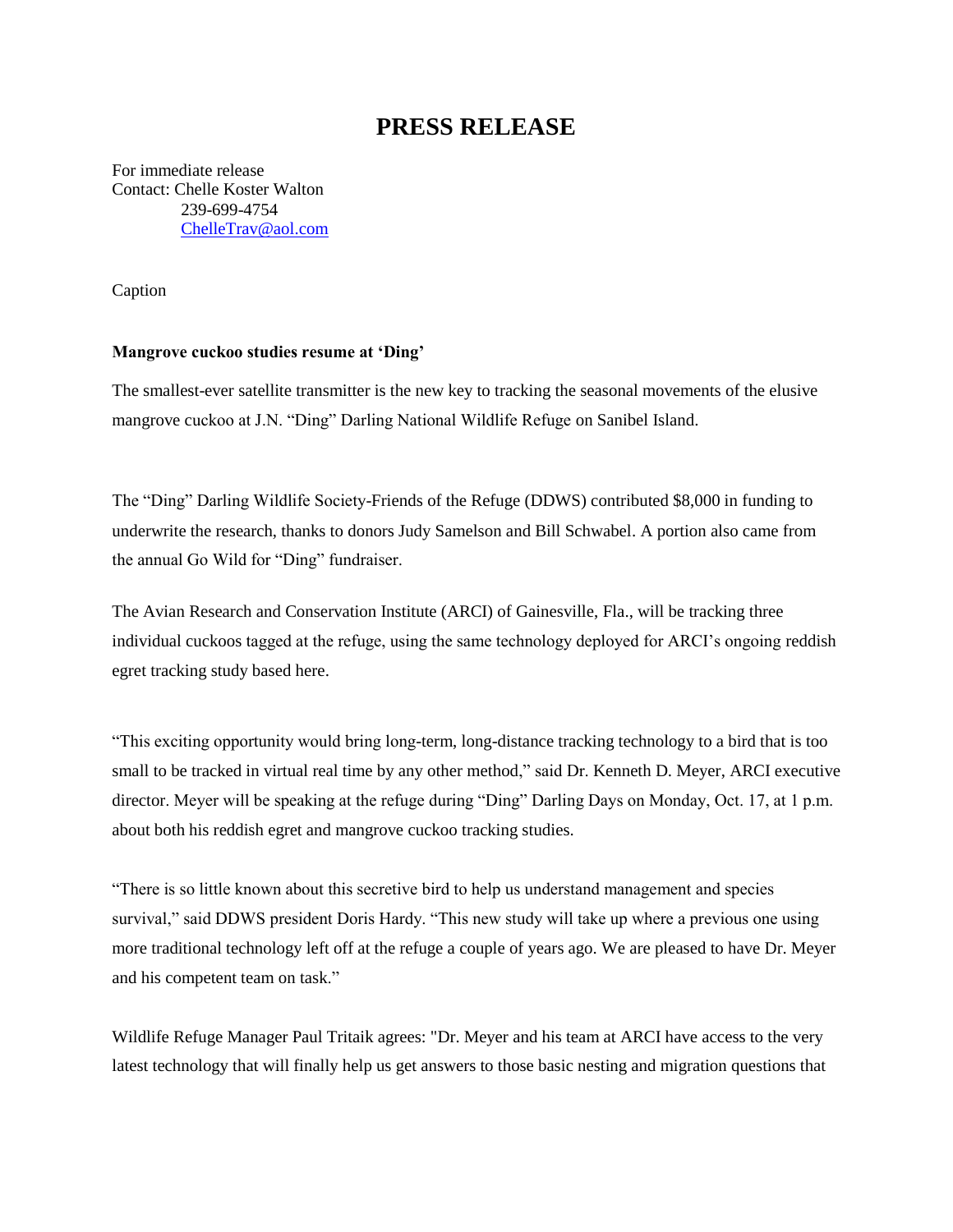## **PRESS RELEASE**

For immediate release Contact: Chelle Koster Walton 239-699-4754 [ChelleTrav@aol.com](mailto:ChelleTrav@aol.com)

Caption

## **Mangrove cuckoo studies resume at 'Ding'**

The smallest-ever satellite transmitter is the new key to tracking the seasonal movements of the elusive mangrove cuckoo at J.N. "Ding" Darling National Wildlife Refuge on Sanibel Island.

The "Ding" Darling Wildlife Society-Friends of the Refuge (DDWS) contributed \$8,000 in funding to underwrite the research, thanks to donors Judy Samelson and Bill Schwabel. A portion also came from the annual Go Wild for "Ding" fundraiser.

The Avian Research and Conservation Institute (ARCI) of Gainesville, Fla., will be tracking three individual cuckoos tagged at the refuge, using the same technology deployed for ARCI's ongoing reddish egret tracking study based here.

"This exciting opportunity would bring long-term, long-distance tracking technology to a bird that is too small to be tracked in virtual real time by any other method," said Dr. Kenneth D. Meyer, ARCI executive director. Meyer will be speaking at the refuge during "Ding" Darling Days on Monday, Oct. 17, at 1 p.m. about both his reddish egret and mangrove cuckoo tracking studies.

"There is so little known about this secretive bird to help us understand management and species survival," said DDWS president Doris Hardy. "This new study will take up where a previous one using more traditional technology left off at the refuge a couple of years ago. We are pleased to have Dr. Meyer and his competent team on task."

Wildlife Refuge Manager Paul Tritaik agrees: "Dr. Meyer and his team at ARCI have access to the very latest technology that will finally help us get answers to those basic nesting and migration questions that